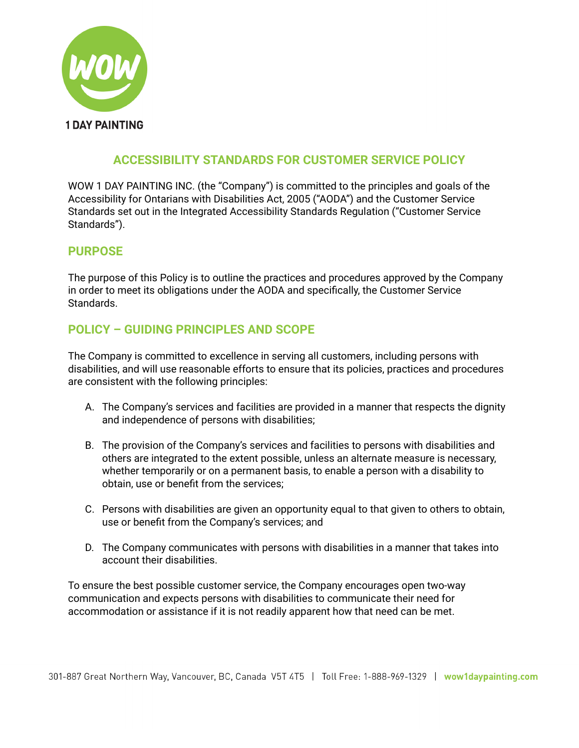

## **ACCESSIBILITY STANDARDS FOR CUSTOMER SERVICE POLICY**

WOW 1 DAY PAINTING INC. (the "Company") is committed to the principles and goals of the Accessibility for Ontarians with Disabilities Act, 2005 ("AODA") and the Customer Service Standards set out in the Integrated Accessibility Standards Regulation ("Customer Service Standards").

#### **PURPOSE**

The purpose of this Policy is to outline the practices and procedures approved by the Company in order to meet its obligations under the AODA and specifically, the Customer Service Standards.

### **POLICY – GUIDING PRINCIPLES AND SCOPE**

The Company is committed to excellence in serving all customers, including persons with disabilities, and will use reasonable efforts to ensure that its policies, practices and procedures are consistent with the following principles:

- A. The Company's services and facilities are provided in a manner that respects the dignity and independence of persons with disabilities;
- B. The provision of the Company's services and facilities to persons with disabilities and others are integrated to the extent possible, unless an alternate measure is necessary, whether temporarily or on a permanent basis, to enable a person with a disability to obtain, use or benefit from the services;
- C. Persons with disabilities are given an opportunity equal to that given to others to obtain, use or benefit from the Company's services; and
- D. The Company communicates with persons with disabilities in a manner that takes into account their disabilities.

To ensure the best possible customer service, the Company encourages open two-way communication and expects persons with disabilities to communicate their need for accommodation or assistance if it is not readily apparent how that need can be met.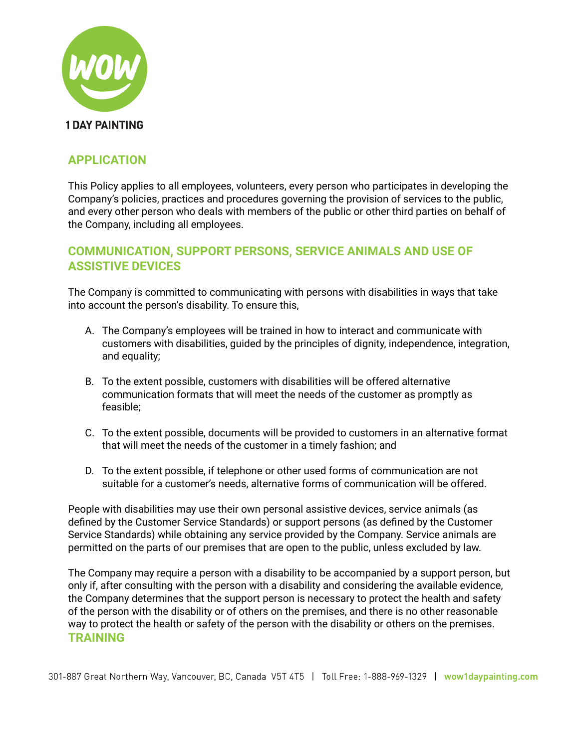

### **APPLICATION**

This Policy applies to all employees, volunteers, every person who participates in developing the Company's policies, practices and procedures governing the provision of services to the public, and every other person who deals with members of the public or other third parties on behalf of the Company, including all employees.

### **COMMUNICATION, SUPPORT PERSONS, SERVICE ANIMALS AND USE OF ASSISTIVE DEVICES**

The Company is committed to communicating with persons with disabilities in ways that take into account the person's disability. To ensure this,

- A. The Company's employees will be trained in how to interact and communicate with customers with disabilities, guided by the principles of dignity, independence, integration, and equality;
- B. To the extent possible, customers with disabilities will be offered alternative communication formats that will meet the needs of the customer as promptly as feasible;
- C. To the extent possible, documents will be provided to customers in an alternative format that will meet the needs of the customer in a timely fashion; and
- D. To the extent possible, if telephone or other used forms of communication are not suitable for a customer's needs, alternative forms of communication will be offered.

People with disabilities may use their own personal assistive devices, service animals (as defined by the Customer Service Standards) or support persons (as defined by the Customer Service Standards) while obtaining any service provided by the Company. Service animals are permitted on the parts of our premises that are open to the public, unless excluded by law.

The Company may require a person with a disability to be accompanied by a support person, but only if, after consulting with the person with a disability and considering the available evidence, the Company determines that the support person is necessary to protect the health and safety of the person with the disability or of others on the premises, and there is no other reasonable way to protect the health or safety of the person with the disability or others on the premises. **TRAINING**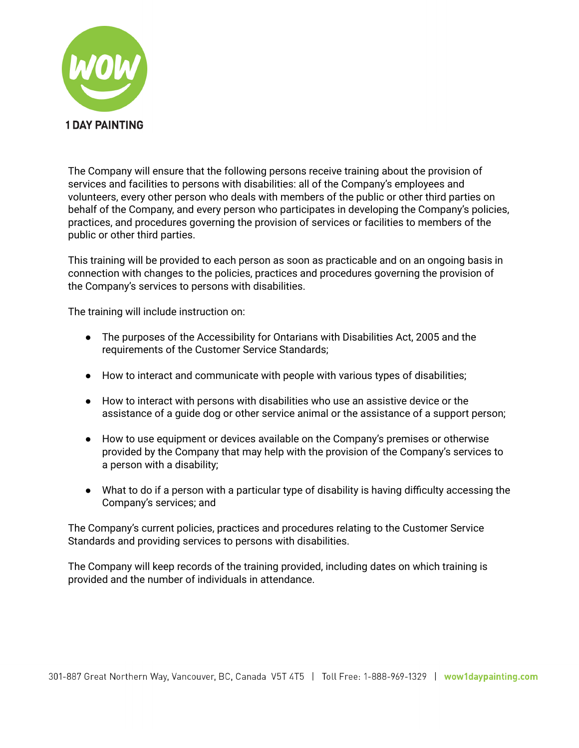

The Company will ensure that the following persons receive training about the provision of services and facilities to persons with disabilities: all of the Company's employees and volunteers, every other person who deals with members of the public or other third parties on behalf of the Company, and every person who participates in developing the Company's policies, practices, and procedures governing the provision of services or facilities to members of the public or other third parties.

This training will be provided to each person as soon as practicable and on an ongoing basis in connection with changes to the policies, practices and procedures governing the provision of the Company's services to persons with disabilities.

The training will include instruction on:

- The purposes of the Accessibility for Ontarians with Disabilities Act, 2005 and the requirements of the Customer Service Standards;
- How to interact and communicate with people with various types of disabilities;
- How to interact with persons with disabilities who use an assistive device or the assistance of a guide dog or other service animal or the assistance of a support person;
- How to use equipment or devices available on the Company's premises or otherwise provided by the Company that may help with the provision of the Company's services to a person with a disability;
- What to do if a person with a particular type of disability is having difficulty accessing the Company's services; and

The Company's current policies, practices and procedures relating to the Customer Service Standards and providing services to persons with disabilities.

The Company will keep records of the training provided, including dates on which training is provided and the number of individuals in attendance.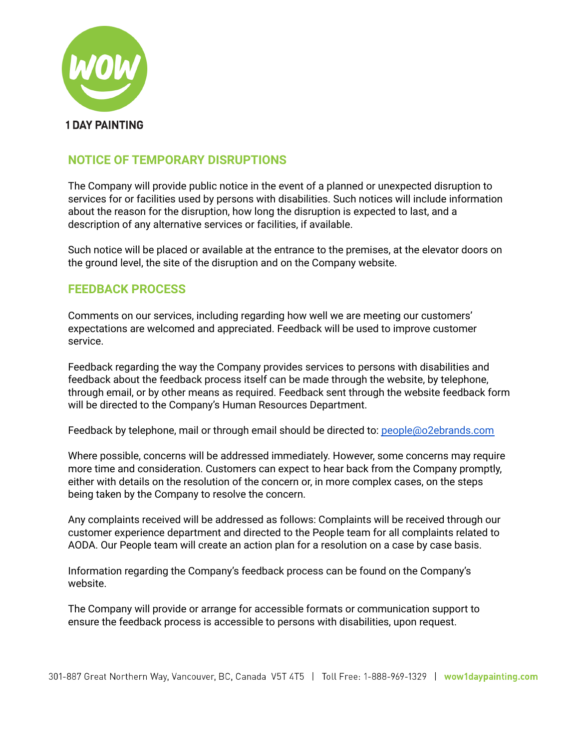

# **NOTICE OF TEMPORARY DISRUPTIONS**

The Company will provide public notice in the event of a planned or unexpected disruption to services for or facilities used by persons with disabilities. Such notices will include information about the reason for the disruption, how long the disruption is expected to last, and a description of any alternative services or facilities, if available.

Such notice will be placed or available at the entrance to the premises, at the elevator doors on the ground level, the site of the disruption and on the Company website.

#### **FEEDBACK PROCESS**

Comments on our services, including regarding how well we are meeting our customers' expectations are welcomed and appreciated. Feedback will be used to improve customer service.

Feedback regarding the way the Company provides services to persons with disabilities and feedback about the feedback process itself can be made through the website, by telephone, through email, or by other means as required. Feedback sent through the website feedback form will be directed to the Company's Human Resources Department.

Feedback by telephone, mail or through email should be directed to: [people@o2ebrands.com](mailto:people@o2ebrands.com)

Where possible, concerns will be addressed immediately. However, some concerns may require more time and consideration. Customers can expect to hear back from the Company promptly, either with details on the resolution of the concern or, in more complex cases, on the steps being taken by the Company to resolve the concern.

Any complaints received will be addressed as follows: Complaints will be received through our customer experience department and directed to the People team for all complaints related to AODA. Our People team will create an action plan for a resolution on a case by case basis.

Information regarding the Company's feedback process can be found on the Company's website.

The Company will provide or arrange for accessible formats or communication support to ensure the feedback process is accessible to persons with disabilities, upon request.